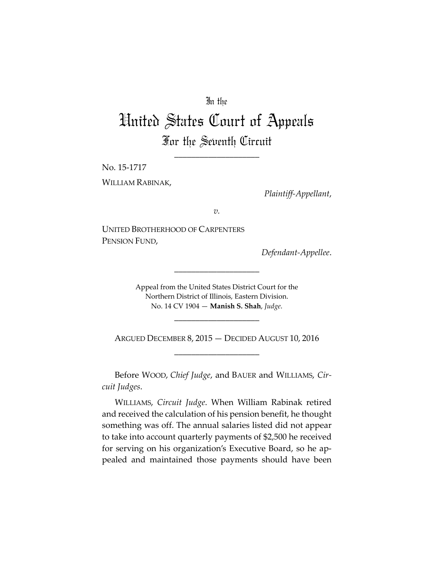### In the

# United States Court of Appeals For the Seventh Circuit

\_\_\_\_\_\_\_\_\_\_\_\_\_\_\_\_\_\_\_\_

No. 15‐1717 WILLIAM RABINAK,

 *Plaintiff‐Appellant*,

*v.*

UNITED BROTHERHOOD OF CARPENTERS PENSION FUND,

*Defendant‐Appellee*.

Appeal from the United States District Court for the Northern District of Illinois, Eastern Division. No. 14 CV 1904 — **Manish S. Shah**, *Judge*.

\_\_\_\_\_\_\_\_\_\_\_\_\_\_\_\_\_\_\_\_

ARGUED DECEMBER 8, 2015 — DECIDED AUGUST 10, 2016 \_\_\_\_\_\_\_\_\_\_\_\_\_\_\_\_\_\_\_\_

\_\_\_\_\_\_\_\_\_\_\_\_\_\_\_\_\_\_\_\_

Before WOOD, *Chief Judge*, and BAUER and WILLIAMS, *Cir‐ cuit Judges*.

WILLIAMS, *Circuit Judge*. When William Rabinak retired and received the calculation of his pension benefit, he thought something was off. The annual salaries listed did not appear to take into account quarterly payments of \$2,500 he received for serving on his organization's Executive Board, so he ap‐ pealed and maintained those payments should have been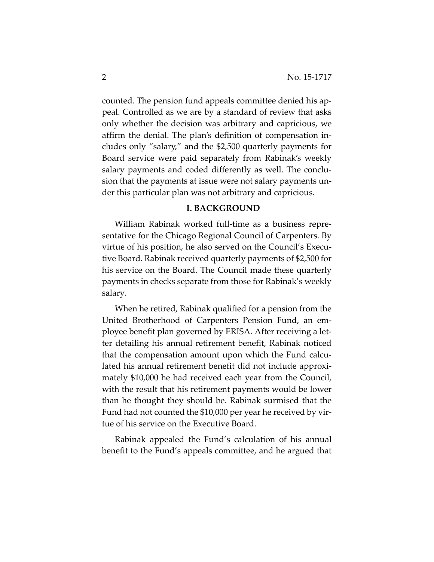counted. The pension fund appeals committee denied his ap‐ peal. Controlled as we are by a standard of review that asks only whether the decision was arbitrary and capricious, we affirm the denial. The plan's definition of compensation in‐ cludes only "salary," and the \$2,500 quarterly payments for Board service were paid separately from Rabinak's weekly salary payments and coded differently as well. The conclu‐ sion that the payments at issue were not salary payments un‐ der this particular plan was not arbitrary and capricious.

#### **I. BACKGROUND**

William Rabinak worked full-time as a business representative for the Chicago Regional Council of Carpenters. By virtue of his position, he also served on the Council's Execu‐ tive Board. Rabinak received quarterly payments of \$2,500 for his service on the Board. The Council made these quarterly payments in checks separate from those for Rabinak's weekly salary.

When he retired, Rabinak qualified for a pension from the United Brotherhood of Carpenters Pension Fund, an em‐ ployee benefit plan governed by ERISA. After receiving a let‐ ter detailing his annual retirement benefit, Rabinak noticed that the compensation amount upon which the Fund calcu‐ lated his annual retirement benefit did not include approxi‐ mately \$10,000 he had received each year from the Council, with the result that his retirement payments would be lower than he thought they should be. Rabinak surmised that the Fund had not counted the \$10,000 per year he received by vir‐ tue of his service on the Executive Board.

Rabinak appealed the Fund's calculation of his annual benefit to the Fund's appeals committee, and he argued that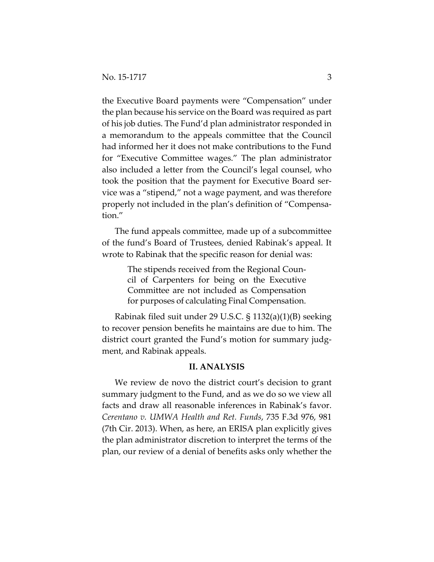the Executive Board payments were "Compensation" under the plan because his service on the Board was required as part of his job duties. The Fund'd plan administrator responded in a memorandum to the appeals committee that the Council had informed her it does not make contributions to the Fund for "Executive Committee wages." The plan administrator also included a letter from the Council's legal counsel, who took the position that the payment for Executive Board ser‐ vice was a "stipend," not a wage payment, and was therefore properly not included in the plan's definition of "Compensa‐ tion."

The fund appeals committee, made up of a subcommittee of the fund's Board of Trustees, denied Rabinak's appeal. It wrote to Rabinak that the specific reason for denial was:

> The stipends received from the Regional Council of Carpenters for being on the Executive Committee are not included as Compensation for purposes of calculating Final Compensation.

Rabinak filed suit under 29 U.S.C. § 1132(a)(1)(B) seeking to recover pension benefits he maintains are due to him. The district court granted the Fund's motion for summary judgment, and Rabinak appeals.

#### **II. ANALYSIS**

We review de novo the district court's decision to grant summary judgment to the Fund, and as we do so we view all facts and draw all reasonable inferences in Rabinak's favor. *Cerentano v. UMWA Health and Ret. Funds*, 735 F.3d 976, 981 (7th Cir. 2013). When, as here, an ERISA plan explicitly gives the plan administrator discretion to interpret the terms of the plan, our review of a denial of benefits asks only whether the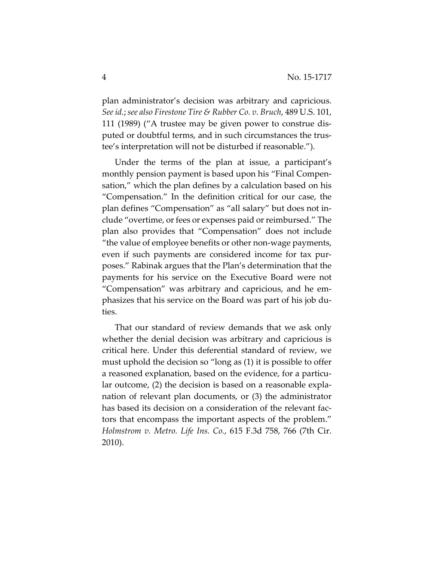plan administrator's decision was arbitrary and capricious. *See id*.; *see also Firestone Tire & Rubber Co. v. Bruch*, 489 U.S. 101, 111 (1989) ("A trustee may be given power to construe dis‐ puted or doubtful terms, and in such circumstances the trus‐ tee's interpretation will not be disturbed if reasonable.").

Under the terms of the plan at issue, a participant's monthly pension payment is based upon his "Final Compen‐ sation," which the plan defines by a calculation based on his "Compensation." In the definition critical for our case, the plan defines "Compensation" as "all salary" but does not in‐ clude "overtime, or fees or expenses paid or reimbursed." The plan also provides that "Compensation" does not include "the value of employee benefits or other non‐wage payments, even if such payments are considered income for tax pur‐ poses." Rabinak argues that the Plan's determination that the payments for his service on the Executive Board were not "Compensation" was arbitrary and capricious, and he em‐ phasizes that his service on the Board was part of his job du‐ ties.

That our standard of review demands that we ask only whether the denial decision was arbitrary and capricious is critical here. Under this deferential standard of review, we must uphold the decision so "long as (1) it is possible to offer a reasoned explanation, based on the evidence, for a particular outcome, (2) the decision is based on a reasonable expla‐ nation of relevant plan documents, or (3) the administrator has based its decision on a consideration of the relevant factors that encompass the important aspects of the problem." *Holmstrom v. Metro. Life Ins. Co.*, 615 F.3d 758, 766 (7th Cir. 2010).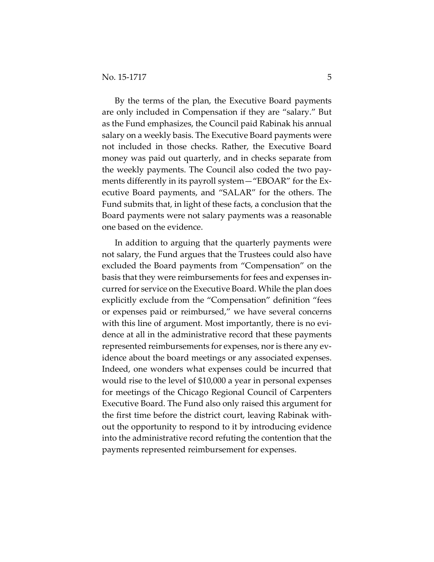By the terms of the plan, the Executive Board payments are only included in Compensation if they are "salary." But as the Fund emphasizes, the Council paid Rabinak his annual salary on a weekly basis. The Executive Board payments were not included in those checks. Rather, the Executive Board money was paid out quarterly, and in checks separate from the weekly payments. The Council also coded the two pay‐ ments differently in its payroll system—"EBOAR" for the Ex‐ ecutive Board payments, and "SALAR" for the others. The Fund submits that, in light of these facts, a conclusion that the Board payments were not salary payments was a reasonable one based on the evidence.

In addition to arguing that the quarterly payments were not salary, the Fund argues that the Trustees could also have excluded the Board payments from "Compensation" on the basis that they were reimbursements for fees and expenses in‐ curred for service on the Executive Board. While the plan does explicitly exclude from the "Compensation" definition "fees or expenses paid or reimbursed," we have several concerns with this line of argument. Most importantly, there is no evidence at all in the administrative record that these payments represented reimbursements for expenses, nor is there any evidence about the board meetings or any associated expenses. Indeed, one wonders what expenses could be incurred that would rise to the level of \$10,000 a year in personal expenses for meetings of the Chicago Regional Council of Carpenters Executive Board. The Fund also only raised this argument for the first time before the district court, leaving Rabinak with‐ out the opportunity to respond to it by introducing evidence into the administrative record refuting the contention that the payments represented reimbursement for expenses.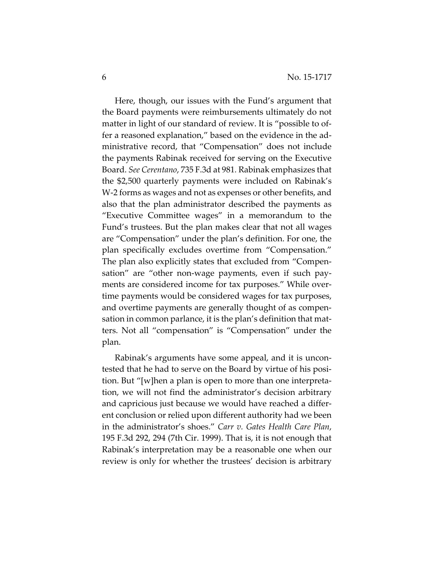Here, though, our issues with the Fund's argument that the Board payments were reimbursements ultimately do not matter in light of our standard of review. It is "possible to offer a reasoned explanation," based on the evidence in the ad‐ ministrative record, that "Compensation" does not include the payments Rabinak received for serving on the Executive Board. *See Cerentano*, 735 F.3d at 981*.* Rabinak emphasizes that the \$2,500 quarterly payments were included on Rabinak's W‐2 forms as wages and not as expenses or other benefits, and also that the plan administrator described the payments as "Executive Committee wages" in a memorandum to the Fund's trustees. But the plan makes clear that not all wages are "Compensation" under the plan's definition. For one, the plan specifically excludes overtime from "Compensation." The plan also explicitly states that excluded from "Compen‐ sation" are "other non-wage payments, even if such payments are considered income for tax purposes." While overtime payments would be considered wages for tax purposes, and overtime payments are generally thought of as compen‐ sation in common parlance, it is the plan's definition that mat‐ ters. Not all "compensation" is "Compensation" under the plan.

Rabinak's arguments have some appeal, and it is uncon‐ tested that he had to serve on the Board by virtue of his posi‐ tion. But "[w]hen a plan is open to more than one interpreta‐ tion, we will not find the administrator's decision arbitrary and capricious just because we would have reached a differ‐ ent conclusion or relied upon different authority had we been in the administrator's shoes." *Carr v. Gates Health Care Plan*, 195 F.3d 292, 294 (7th Cir. 1999). That is, it is not enough that Rabinak's interpretation may be a reasonable one when our review is only for whether the trustees' decision is arbitrary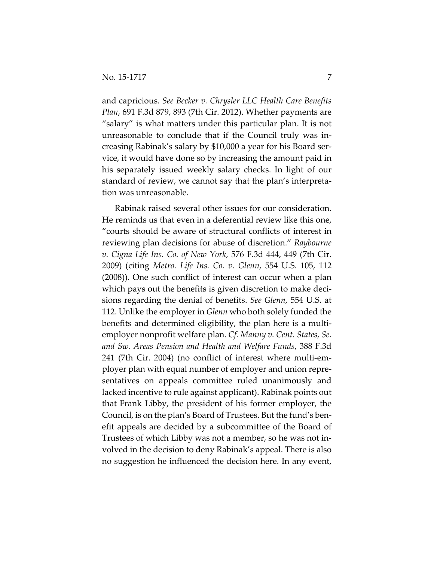and capricious. *See Becker v. Chrysler LLC Health Care Benefits Plan*, 691 F.3d 879, 893 (7th Cir. 2012). Whether payments are "salary" is what matters under this particular plan. It is not unreasonable to conclude that if the Council truly was in‐ creasing Rabinak's salary by \$10,000 a year for his Board ser‐ vice, it would have done so by increasing the amount paid in his separately issued weekly salary checks. In light of our standard of review, we cannot say that the plan's interpreta‐ tion was unreasonable.

Rabinak raised several other issues for our consideration. He reminds us that even in a deferential review like this one, "courts should be aware of structural conflicts of interest in reviewing plan decisions for abuse of discretion." *Raybourne v. Cigna Life Ins. Co. of New York*, 576 F.3d 444, 449 (7th Cir. 2009) (citing *Metro. Life Ins. Co. v. Glenn*, 554 U.S. 105, 112 (2008)). One such conflict of interest can occur when a plan which pays out the benefits is given discretion to make decisions regarding the denial of benefits. *See Glenn,* 554 U.S. at 112. Unlike the employer in *Glenn* who both solely funded the benefits and determined eligibility, the plan here is a multiemployer nonprofit welfare plan. *Cf. Manny v. Cent. States, Se. and Sw. Areas Pension and Health and Welfare Funds*, 388 F.3d 241 (7th Cir. 2004) (no conflict of interest where multi‐em‐ ployer plan with equal number of employer and union repre‐ sentatives on appeals committee ruled unanimously and lacked incentive to rule against applicant). Rabinak points out that Frank Libby, the president of his former employer, the Council, is on the plan's Board of Trustees. But the fund's ben‐ efit appeals are decided by a subcommittee of the Board of Trustees of which Libby was not a member, so he was not in‐ volved in the decision to deny Rabinak's appeal. There is also no suggestion he influenced the decision here. In any event,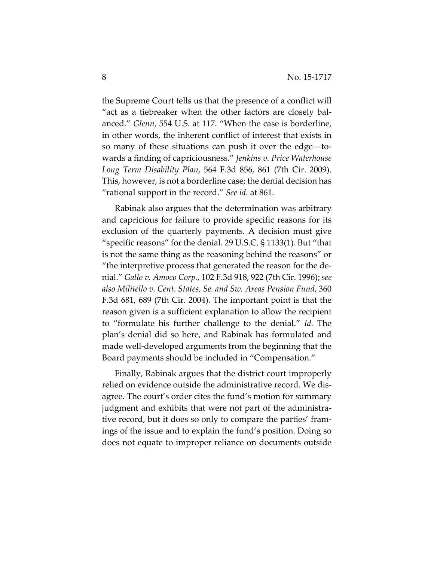the Supreme Court tells us that the presence of a conflict will "act as a tiebreaker when the other factors are closely bal‐ anced." *Glenn*, 554 U.S. at 117. "When the case is borderline, in other words, the inherent conflict of interest that exists in so many of these situations can push it over the edge—towards a finding of capriciousness." *Jenkins v. Price Waterhouse Long Term Disability Plan*, 564 F.3d 856, 861 (7th Cir. 2009). This, however, is not a borderline case; the denial decision has "rational support in the record." *See id.* at 861.

Rabinak also argues that the determination was arbitrary and capricious for failure to provide specific reasons for its exclusion of the quarterly payments. A decision must give "specific reasons" for the denial. 29 U.S.C. § 1133(1). But "that is not the same thing as the reasoning behind the reasons" or "the interpretive process that generated the reason for the de‐ nial." *Gallo v. Amoco Corp.*, 102 F.3d 918, 922 (7th Cir. 1996); *see also Militello v. Cent. States, Se. and Sw. Areas Pension Fund*, 360 F.3d 681, 689 (7th Cir. 2004)*.* The important point is that the reason given is a sufficient explanation to allow the recipient to "formulate his further challenge to the denial." *Id.* The plan's denial did so here, and Rabinak has formulated and made well‐developed arguments from the beginning that the Board payments should be included in "Compensation."

Finally, Rabinak argues that the district court improperly relied on evidence outside the administrative record. We dis‐ agree. The court's order cites the fund's motion for summary judgment and exhibits that were not part of the administra‐ tive record, but it does so only to compare the parties' fram‐ ings of the issue and to explain the fund's position. Doing so does not equate to improper reliance on documents outside